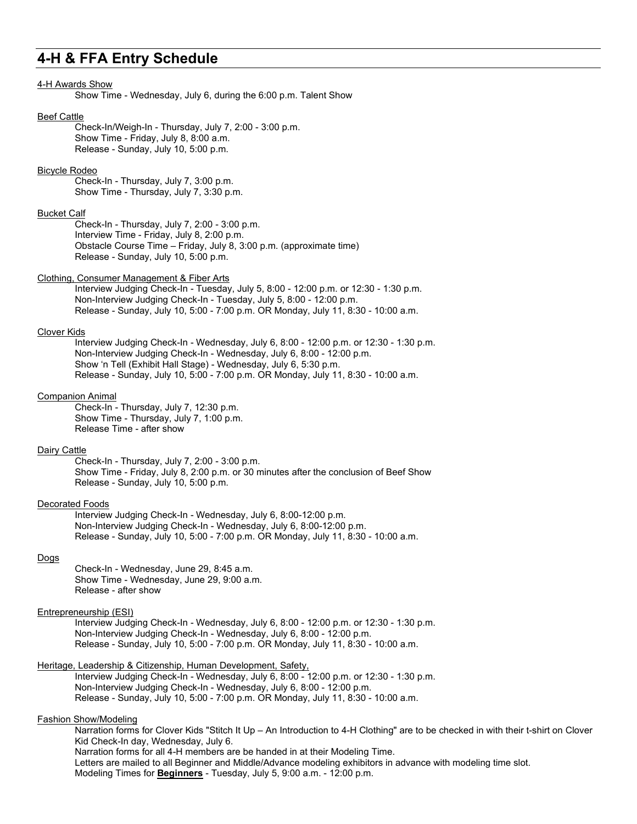# **4-H & FFA Entry Schedule**

# 4-H Awards Show

Show Time - Wednesday, July 6, during the 6:00 p.m. Talent Show

#### Beef Cattle

Check-In/Weigh-In - Thursday, July 7, 2:00 - 3:00 p.m. Show Time - Friday, July 8, 8:00 a.m. Release - Sunday, July 10, 5:00 p.m.

# Bicycle Rodeo

Check-In - Thursday, July 7, 3:00 p.m. Show Time - Thursday, July 7, 3:30 p.m.

### Bucket Calf

Check-In - Thursday, July 7, 2:00 - 3:00 p.m. Interview Time - Friday, July 8, 2:00 p.m. Obstacle Course Time – Friday, July 8, 3:00 p.m. (approximate time) Release - Sunday, July 10, 5:00 p.m.

#### Clothing, Consumer Management & Fiber Arts

Interview Judging Check-In - Tuesday, July 5, 8:00 - 12:00 p.m. or 12:30 - 1:30 p.m. Non-Interview Judging Check-In - Tuesday, July 5, 8:00 - 12:00 p.m. Release - Sunday, July 10, 5:00 - 7:00 p.m. OR Monday, July 11, 8:30 - 10:00 a.m.

# Clover Kids

Interview Judging Check-In - Wednesday, July 6, 8:00 - 12:00 p.m. or 12:30 - 1:30 p.m. Non-Interview Judging Check-In - Wednesday, July 6, 8:00 - 12:00 p.m. Show 'n Tell (Exhibit Hall Stage) - Wednesday, July 6, 5:30 p.m. Release - Sunday, July 10, 5:00 - 7:00 p.m. OR Monday, July 11, 8:30 - 10:00 a.m.

# Companion Animal

Check-In - Thursday, July 7, 12:30 p.m. Show Time - Thursday, July 7, 1:00 p.m. Release Time - after show

# Dairy Cattle

Check-In - Thursday, July 7, 2:00 - 3:00 p.m. Show Time - Friday, July 8, 2:00 p.m. or 30 minutes after the conclusion of Beef Show Release - Sunday, July 10, 5:00 p.m.

### Decorated Foods

Interview Judging Check-In - Wednesday, July 6, 8:00-12:00 p.m. Non-Interview Judging Check-In - Wednesday, July 6, 8:00-12:00 p.m. Release - Sunday, July 10, 5:00 - 7:00 p.m. OR Monday, July 11, 8:30 - 10:00 a.m.

# Dogs

Check-In - Wednesday, June 29, 8:45 a.m. Show Time - Wednesday, June 29, 9:00 a.m. Release - after show

# Entrepreneurship (ESI)

Interview Judging Check-In - Wednesday, July 6, 8:00 - 12:00 p.m. or 12:30 - 1:30 p.m. Non-Interview Judging Check-In - Wednesday, July 6, 8:00 - 12:00 p.m. Release - Sunday, July 10, 5:00 - 7:00 p.m. OR Monday, July 11, 8:30 - 10:00 a.m.

# Heritage, Leadership & Citizenship, Human Development, Safety,

Interview Judging Check-In - Wednesday, July 6, 8:00 - 12:00 p.m. or 12:30 - 1:30 p.m. Non-Interview Judging Check-In - Wednesday, July 6, 8:00 - 12:00 p.m. Release - Sunday, July 10, 5:00 - 7:00 p.m. OR Monday, July 11, 8:30 - 10:00 a.m.

# Fashion Show/Modeling

Narration forms for Clover Kids "Stitch It Up – An Introduction to 4-H Clothing" are to be checked in with their t-shirt on Clover Kid Check-In day, Wednesday, July 6. Narration forms for all 4-H members are be handed in at their Modeling Time. Letters are mailed to all Beginner and Middle/Advance modeling exhibitors in advance with modeling time slot. Modeling Times for **Beginners** - Tuesday, July 5, 9:00 a.m. - 12:00 p.m.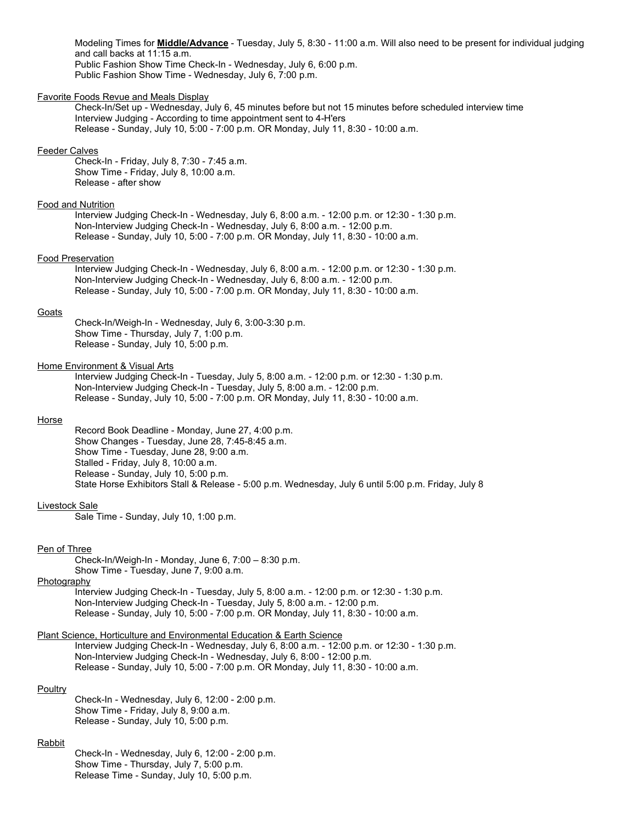Modeling Times for **Middle/Advance** - Tuesday, July 5, 8:30 - 11:00 a.m. Will also need to be present for individual judging and call backs at 11:15 a.m. Public Fashion Show Time Check-In - Wednesday, July 6, 6:00 p.m. Public Fashion Show Time - Wednesday, July 6, 7:00 p.m.

# Favorite Foods Revue and Meals Display

Check-In/Set up - Wednesday, July 6, 45 minutes before but not 15 minutes before scheduled interview time Interview Judging - According to time appointment sent to 4-H'ers Release - Sunday, July 10, 5:00 - 7:00 p.m. OR Monday, July 11, 8:30 - 10:00 a.m.

#### Feeder Calves

Check-In - Friday, July 8, 7:30 - 7:45 a.m. Show Time - Friday, July 8, 10:00 a.m. Release - after show

# Food and Nutrition

Interview Judging Check-In - Wednesday, July 6, 8:00 a.m. - 12:00 p.m. or 12:30 - 1:30 p.m. Non-Interview Judging Check-In - Wednesday, July 6, 8:00 a.m. - 12:00 p.m. Release - Sunday, July 10, 5:00 - 7:00 p.m. OR Monday, July 11, 8:30 - 10:00 a.m.

# Food Preservation

Interview Judging Check-In - Wednesday, July 6, 8:00 a.m. - 12:00 p.m. or 12:30 - 1:30 p.m. Non-Interview Judging Check-In - Wednesday, July 6, 8:00 a.m. - 12:00 p.m. Release - Sunday, July 10, 5:00 - 7:00 p.m. OR Monday, July 11, 8:30 - 10:00 a.m.

#### **Goats**

Check-In/Weigh-In - Wednesday, July 6, 3:00-3:30 p.m. Show Time - Thursday, July 7, 1:00 p.m. Release - Sunday, July 10, 5:00 p.m.

# Home Environment & Visual Arts

Interview Judging Check-In - Tuesday, July 5, 8:00 a.m. - 12:00 p.m. or 12:30 - 1:30 p.m. Non-Interview Judging Check-In - Tuesday, July 5, 8:00 a.m. - 12:00 p.m. Release - Sunday, July 10, 5:00 - 7:00 p.m. OR Monday, July 11, 8:30 - 10:00 a.m.

#### Horse

Record Book Deadline - Monday, June 27, 4:00 p.m. Show Changes - Tuesday, June 28, 7:45-8:45 a.m. Show Time - Tuesday, June 28, 9:00 a.m. Stalled - Friday, July 8, 10:00 a.m. Release - Sunday, July 10, 5:00 p.m. State Horse Exhibitors Stall & Release - 5:00 p.m. Wednesday, July 6 until 5:00 p.m. Friday, July 8

#### Livestock Sale

Sale Time - Sunday, July 10, 1:00 p.m.

#### Pen of Three

Check-In/Weigh-In - Monday, June 6, 7:00 – 8:30 p.m. Show Time - Tuesday, June 7, 9:00 a.m.

Photography

Interview Judging Check-In - Tuesday, July 5, 8:00 a.m. - 12:00 p.m. or 12:30 - 1:30 p.m. Non-Interview Judging Check-In - Tuesday, July 5, 8:00 a.m. - 12:00 p.m. Release - Sunday, July 10, 5:00 - 7:00 p.m. OR Monday, July 11, 8:30 - 10:00 a.m.

# Plant Science, Horticulture and Environmental Education & Earth Science

Interview Judging Check-In - Wednesday, July 6, 8:00 a.m. - 12:00 p.m. or 12:30 - 1:30 p.m. Non-Interview Judging Check-In - Wednesday, July 6, 8:00 - 12:00 p.m. Release - Sunday, July 10, 5:00 - 7:00 p.m. OR Monday, July 11, 8:30 - 10:00 a.m.

#### **Poultry**

Check-In - Wednesday, July 6, 12:00 - 2:00 p.m. Show Time - Friday, July 8, 9:00 a.m. Release - Sunday, July 10, 5:00 p.m.

#### Rabbit

Check-In - Wednesday, July 6, 12:00 - 2:00 p.m. Show Time - Thursday, July 7, 5:00 p.m. Release Time - Sunday, July 10, 5:00 p.m.